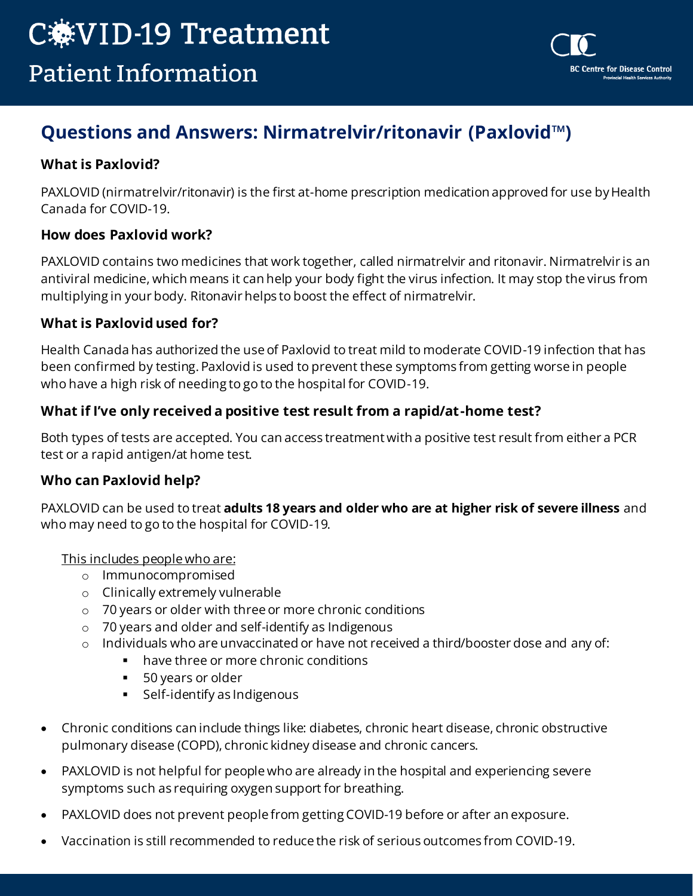

### **Questions and Answers: Nirmatrelvir/ritonavir (Paxlovid™)**

#### **What is Paxlovid?**

PAXLOVID (nirmatrelvir/ritonavir) is the first at-home prescription medication approved for use by Health Canada for COVID-19.

#### **How does Paxlovid work?**

PAXLOVID contains two medicines that work together, called nirmatrelvir and ritonavir. Nirmatrelvir is an antiviral medicine, which means it can help your body fight the virus infection. It may stop the virus from multiplying in your body. Ritonavir helps to boost the effect of nirmatrelvir.

#### **What is Paxlovid used for?**

Health Canada has authorized the use of Paxlovid to treat mild to moderate COVID-19 infection that has been confirmed by testing. Paxlovid is used to prevent these symptoms from getting worse in people who have a high risk of needing to go to the hospital for COVID-19.

#### **What if I've only received a positive test result from a rapid/at-home test?**

Both types of tests are accepted. You can access treatment with a positive test result from either a PCR test or a rapid antigen/at home test.

#### **Who can Paxlovid help?**

PAXLOVID can be used to treat **adults 18 years and older who are at higher risk of severe illness** and who may need to go to the hospital for COVID-19.

This includes people who are:

- o Immunocompromised
- o Clinically extremely vulnerable
- o 70 years or older with three or more chronic conditions
- o 70 years and older and self-identify as Indigenous
- o Individuals who are unvaccinated or have not received a third/booster dose and any of:
	- have three or more chronic conditions
	- 50 years or older
	- **Self-identify as Indigenous**
- Chronic conditions can include things like: diabetes, chronic heart disease, chronic obstructive pulmonary disease (COPD), chronic kidney disease and chronic cancers.
- PAXLOVID is not helpful for people who are already in the hospital and experiencing severe symptoms such as requiring oxygen support for breathing.
- PAXLOVID does not prevent people from getting COVID-19 before or after an exposure.
- Vaccination is still recommended to reduce the risk of serious outcomes from COVID-19.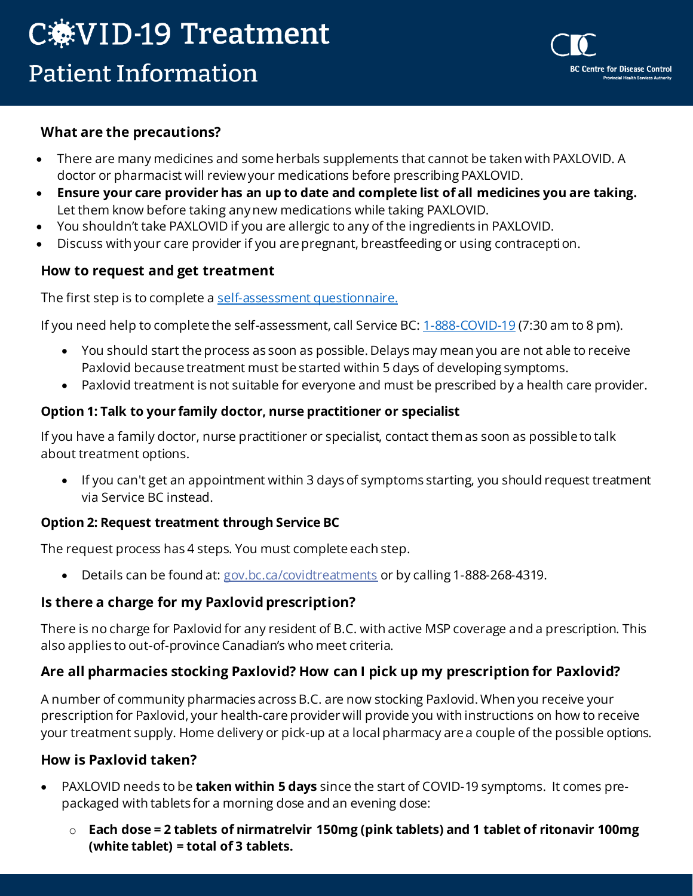## C.WWW.D-19 Treatment **Patient Information**



#### **What are the precautions?**

- There are many medicines and some herbals supplements that cannot be taken with PAXLOVID. A doctor or pharmacist will review your medications before prescribing PAXLOVID.
- **Ensure your care provider has an up to date and complete list of all medicines you are taking.** Let them know before taking any new medications while taking PAXLOVID.
- You shouldn't take PAXLOVID if you are allergic to any of the ingredients in PAXLOVID.
- Discuss with your care provider if you are pregnant, breastfeeding or using contraception.

#### **How to request and get treatment**

The first step is to complete a self-assessment questionnaire.

If you need help to complete the self-assessment, call Service BC[: 1-888-COVID-19](tel:+1-888-268-4319) (7:30 am to 8 pm).

- You should start the process as soon as possible. Delays may mean you are not able to receive Paxlovid because treatment must be started within 5 days of developing symptoms.
- Paxlovid treatment is not suitable for everyone and must be prescribed by a health care provider.

#### **Option 1: Talk to your family doctor, nurse practitioner or specialist**

If you have a family doctor, nurse practitioner or specialist, contact them as soon as possible to talk about treatment options.

 If you can't get an appointment within 3 days of symptoms starting, you should request treatment via Service BC instead.

#### **Option 2: Request treatment through Service BC**

The request process has 4 steps. You must complete each step.

Details can be found at[: gov.bc.ca/covidtreatments](https://www2.gov.bc.ca/gov/content?id=751043BC7E054EFAA139C800DED4001E) or by calling 1-888-268-4319.

#### **Is there a charge for my Paxlovid prescription?**

There is no charge for Paxlovid for any resident of B.C. with active MSP coverage and a prescription. This also applies to out-of-province Canadian's who meet criteria.

#### **Are all pharmacies stocking Paxlovid? How can I pick up my prescription for Paxlovid?**

A number of community pharmacies across B.C. are now stocking Paxlovid. When you receive your prescription for Paxlovid, your health-care provider will provide you with instructions on how to receive your treatment supply. Home delivery or pick-up at a local pharmacy are a couple of the possible options.

#### **How is Paxlovid taken?**

- PAXLOVID needs to be **taken within 5 days** since the start of COVID-19 symptoms. It comes prepackaged with tablets for a morning dose and an evening dose:
	- o **Each dose = 2 tablets of nirmatrelvir 150mg (pink tablets) and 1 tablet of ritonavir 100mg (white tablet) = total of 3 tablets.**